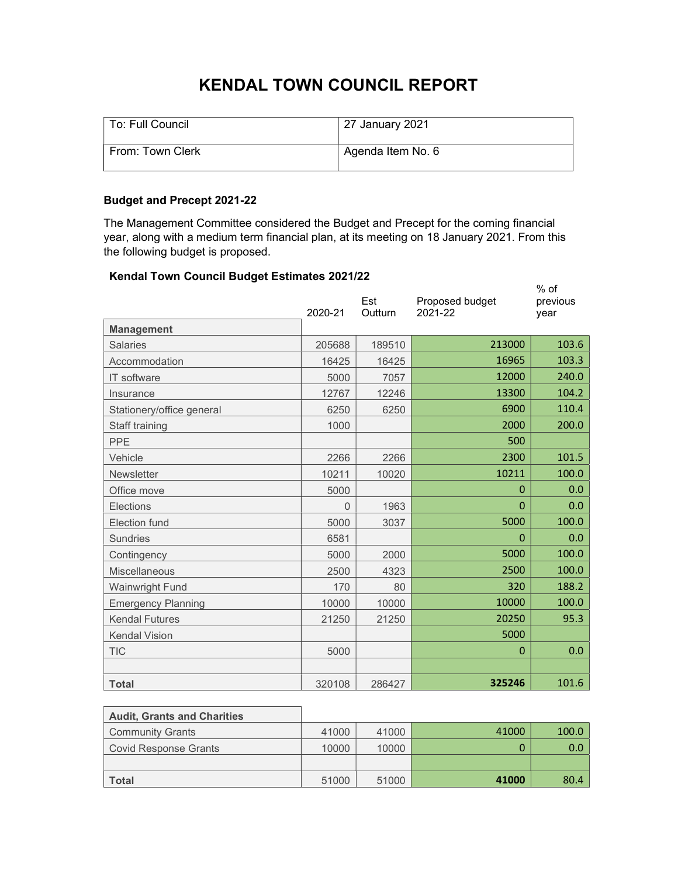# KENDAL TOWN COUNCIL REPORT

| To: Full Council | 27 January 2021   |
|------------------|-------------------|
| From: Town Clerk | Agenda Item No. 6 |

## Budget and Precept 2021-22

The Management Committee considered the Budget and Precept for the coming financial year, along with a medium term financial plan, at its meeting on 18 January 2021. From this the following budget is proposed.

## Kendal Town Council Budget Estimates 2021/22

| chuar Town Oounch Duuget Estimates ZuZ MZZ<br><b>Management</b> | 2020-21 | Est<br>Outturn | Proposed budget<br>2021-22 | $%$ of<br>previous<br>year |
|-----------------------------------------------------------------|---------|----------------|----------------------------|----------------------------|
| <b>Salaries</b>                                                 | 205688  | 189510         | 213000                     | 103.6                      |
| Accommodation                                                   | 16425   | 16425          | 16965                      | 103.3                      |
| IT software                                                     | 5000    | 7057           | 12000                      | 240.0                      |
| Insurance                                                       | 12767   | 12246          | 13300                      | 104.2                      |
| Stationery/office general                                       | 6250    | 6250           | 6900                       | 110.4                      |
| Staff training                                                  | 1000    |                | 2000                       | 200.0                      |
| <b>PPE</b>                                                      |         |                | 500                        |                            |
| Vehicle                                                         | 2266    | 2266           | 2300                       | 101.5                      |
| <b>Newsletter</b>                                               | 10211   | 10020          | 10211                      | 100.0                      |
| Office move                                                     | 5000    |                | 0                          | 0.0                        |
| Elections                                                       | 0       | 1963           | 0                          | 0.0                        |
| Election fund                                                   | 5000    | 3037           | 5000                       | 100.0                      |
| <b>Sundries</b>                                                 | 6581    |                | $\Omega$                   | 0.0                        |
| Contingency                                                     | 5000    | 2000           | 5000                       | 100.0                      |
| Miscellaneous                                                   | 2500    | 4323           | 2500                       | 100.0                      |
| Wainwright Fund                                                 | 170     | 80             | 320                        | 188.2                      |
| <b>Emergency Planning</b>                                       | 10000   | 10000          | 10000                      | 100.0                      |
| <b>Kendal Futures</b>                                           | 21250   | 21250          | 20250                      | 95.3                       |
| <b>Kendal Vision</b>                                            |         |                | 5000                       |                            |
| <b>TIC</b>                                                      | 5000    |                | $\Omega$                   | 0.0                        |
|                                                                 |         |                |                            |                            |
| <b>Total</b>                                                    | 320108  | 286427         | 325246                     | 101.6                      |

| <b>Audit, Grants and Charities</b> |       |       |       |       |
|------------------------------------|-------|-------|-------|-------|
| <b>Community Grants</b>            | 41000 | 41000 | 41000 | 100.0 |
| Covid Response Grants              | 10000 | 10000 |       | 0.0   |
|                                    |       |       |       |       |
| <b>Total</b>                       | 51000 | 51000 | 41000 | 80.4  |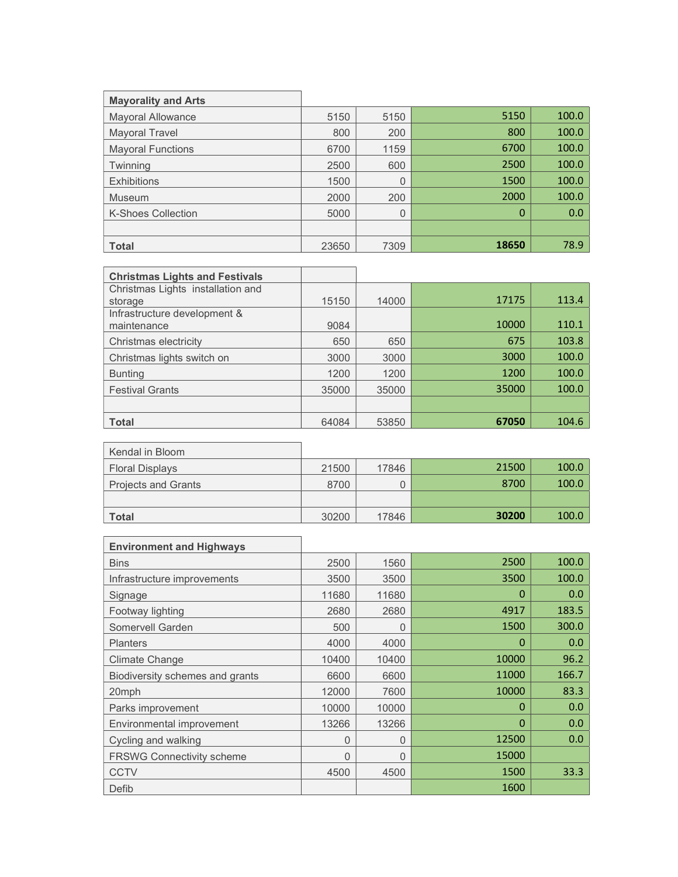| <b>Mayorality and Arts</b> |       |      |       |       |
|----------------------------|-------|------|-------|-------|
| <b>Mayoral Allowance</b>   | 5150  | 5150 | 5150  | 100.0 |
| Mayoral Travel             | 800   | 200  | 800   | 100.0 |
| <b>Mayoral Functions</b>   | 6700  | 1159 | 6700  | 100.0 |
| Twinning                   | 2500  | 600  | 2500  | 100.0 |
| <b>Exhibitions</b>         | 1500  | 0    | 1500  | 100.0 |
| Museum                     | 2000  | 200  | 2000  | 100.0 |
| <b>K-Shoes Collection</b>  | 5000  | 0    | 0     | 0.0   |
|                            |       |      |       |       |
| <b>Total</b>               | 23650 | 7309 | 18650 | 78.9  |

| <b>Christmas Lights and Festivals</b> |       |       |       |       |
|---------------------------------------|-------|-------|-------|-------|
| Christmas Lights installation and     |       |       |       |       |
| storage                               | 15150 | 14000 | 17175 | 113.4 |
| Infrastructure development &          |       |       |       |       |
| maintenance                           | 9084  |       | 10000 | 110.1 |
| Christmas electricity                 | 650   | 650   | 675   | 103.8 |
| Christmas lights switch on            | 3000  | 3000  | 3000  | 100.0 |
| <b>Bunting</b>                        | 1200  | 1200  | 1200  | 100.0 |
| <b>Festival Grants</b>                | 35000 | 35000 | 35000 | 100.0 |
|                                       |       |       |       |       |
| <b>Total</b>                          | 64084 | 53850 | 67050 | 104.6 |

| Kendal in Bloom            |       |       |       |       |
|----------------------------|-------|-------|-------|-------|
| <b>Floral Displays</b>     | 21500 | 17846 | 21500 | 100.0 |
| <b>Projects and Grants</b> | 8700  |       | 8700  | 100.0 |
|                            |       |       |       |       |
| <b>Total</b>               | 30200 | 17846 | 30200 | 100.0 |

 $\overline{\phantom{0}}$ 

| <b>Environment and Highways</b>  |       |          |       |       |
|----------------------------------|-------|----------|-------|-------|
| <b>Bins</b>                      | 2500  | 1560     | 2500  | 100.0 |
| Infrastructure improvements      | 3500  | 3500     | 3500  | 100.0 |
| Signage                          | 11680 | 11680    | 0     | 0.0   |
| Footway lighting                 | 2680  | 2680     | 4917  | 183.5 |
| Somervell Garden                 | 500   | $\Omega$ | 1500  | 300.0 |
| <b>Planters</b>                  | 4000  | 4000     | 0     | 0.0   |
| <b>Climate Change</b>            | 10400 | 10400    | 10000 | 96.2  |
| Biodiversity schemes and grants  | 6600  | 6600     | 11000 | 166.7 |
| 20mph                            | 12000 | 7600     | 10000 | 83.3  |
| Parks improvement                | 10000 | 10000    | 0     | 0.0   |
| Environmental improvement        | 13266 | 13266    | 0     | 0.0   |
| Cycling and walking              | O     | $\Omega$ | 12500 | 0.0   |
| <b>FRSWG Connectivity scheme</b> | O     | $\Omega$ | 15000 |       |
| <b>CCTV</b>                      | 4500  | 4500     | 1500  | 33.3  |
| Defib                            |       |          | 1600  |       |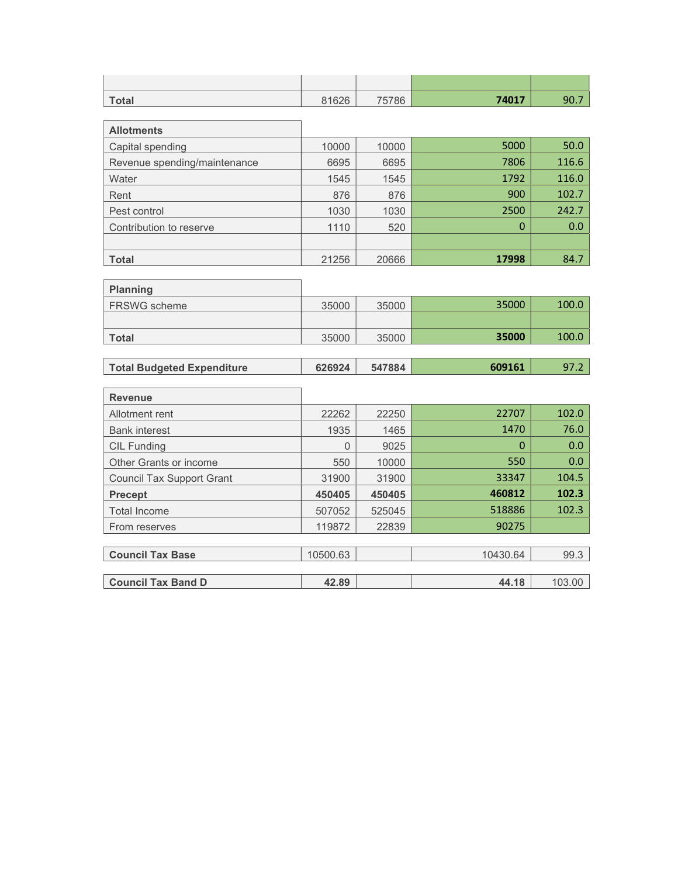| <b>Total</b> | 81626 | 75786 | 74017 | 90.7 |
|--------------|-------|-------|-------|------|

| <b>Allotments</b>            |       |       |       |       |
|------------------------------|-------|-------|-------|-------|
| Capital spending             | 10000 | 10000 | 5000  | 50.0  |
| Revenue spending/maintenance | 6695  | 6695  | 7806  | 116.6 |
| Water                        | 1545  | 1545  | 1792  | 116.0 |
| Rent                         | 876   | 876   | 900   | 102.7 |
| Pest control                 | 1030  | 1030  | 2500  | 242.7 |
| Contribution to reserve      | 1110  | 520   | 0     | 0.0   |
|                              |       |       |       |       |
| <b>Total</b>                 | 21256 | 20666 | 17998 | 84.7  |

| <b>Planning</b>     |       |       |       |       |
|---------------------|-------|-------|-------|-------|
| <b>FRSWG</b> scheme | 35000 | 35000 | 35000 | 100.0 |
|                     |       |       |       |       |
| <b>Total</b>        | 35000 | 35000 | 35000 | 100.0 |

 $\overline{\phantom{a}}$ 

<u> 1989 - Johann Barn, amerikansk politiker (d. 1989)</u>

| Total Budgeted Expenditure | 626924 | 547884 | 609161 |  |
|----------------------------|--------|--------|--------|--|

| <b>Revenue</b>                   |          |        |          |        |
|----------------------------------|----------|--------|----------|--------|
| Allotment rent                   | 22262    | 22250  | 22707    | 102.0  |
| <b>Bank interest</b>             | 1935     | 1465   | 1470     | 76.0   |
| <b>CIL Funding</b>               | 0        | 9025   | 0        | 0.0    |
| Other Grants or income           | 550      | 10000  | 550      | 0.0    |
| <b>Council Tax Support Grant</b> | 31900    | 31900  | 33347    | 104.5  |
| <b>Precept</b>                   | 450405   | 450405 | 460812   | 102.3  |
| <b>Total Income</b>              | 507052   | 525045 | 518886   | 102.3  |
| From reserves                    | 119872   | 22839  | 90275    |        |
|                                  |          |        |          |        |
| <b>Council Tax Base</b>          | 10500.63 |        | 10430.64 | 99.3   |
|                                  |          |        |          |        |
| <b>Council Tax Band D</b>        | 42.89    |        | 44.18    | 103.00 |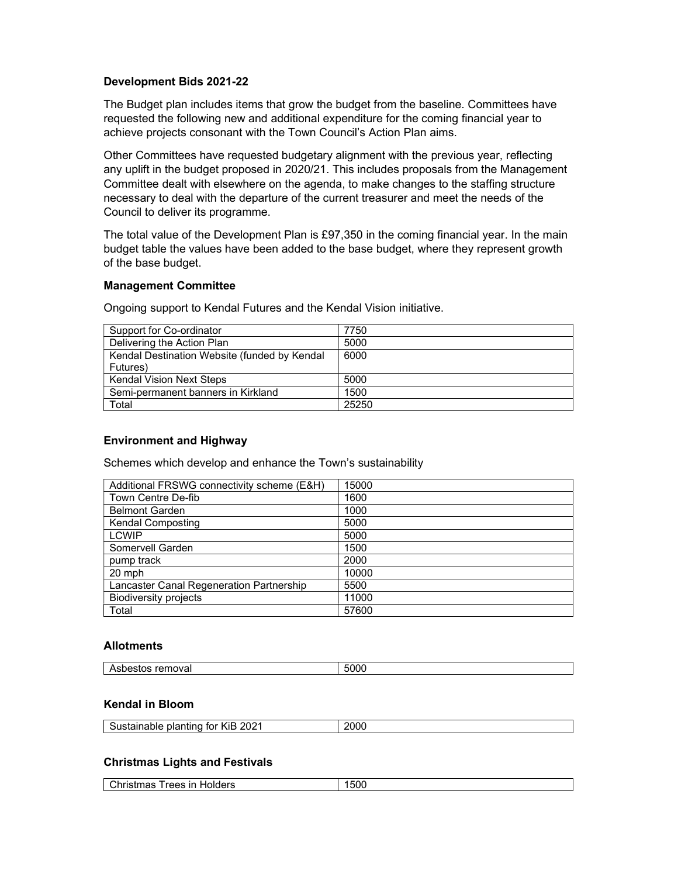### Development Bids 2021-22

The Budget plan includes items that grow the budget from the baseline. Committees have requested the following new and additional expenditure for the coming financial year to achieve projects consonant with the Town Council's Action Plan aims.

Other Committees have requested budgetary alignment with the previous year, reflecting any uplift in the budget proposed in 2020/21. This includes proposals from the Management Committee dealt with elsewhere on the agenda, to make changes to the staffing structure necessary to deal with the departure of the current treasurer and meet the needs of the Council to deliver its programme.

The total value of the Development Plan is £97,350 in the coming financial year. In the main budget table the values have been added to the base budget, where they represent growth of the base budget.

#### Management Committee

Ongoing support to Kendal Futures and the Kendal Vision initiative.

| Support for Co-ordinator                     | 7750  |
|----------------------------------------------|-------|
| Delivering the Action Plan                   | 5000  |
| Kendal Destination Website (funded by Kendal | 6000  |
| Futures)                                     |       |
| <b>Kendal Vision Next Steps</b>              | 5000  |
| Semi-permanent banners in Kirkland           | 1500  |
| Total                                        | 25250 |

#### Environment and Highway

Schemes which develop and enhance the Town's sustainability

| Additional FRSWG connectivity scheme (E&H) | 15000 |
|--------------------------------------------|-------|
| Town Centre De-fib                         | 1600  |
| <b>Belmont Garden</b>                      | 1000  |
| <b>Kendal Composting</b>                   | 5000  |
| <b>LCWIP</b>                               | 5000  |
| Somervell Garden                           | 1500  |
| pump track                                 | 2000  |
| 20 mph                                     | 10000 |
| Lancaster Canal Regeneration Partnership   | 5500  |
| <b>Biodiversity projects</b>               | 11000 |
| Total                                      | 57600 |

## Allotments

| ≅remova∟ |         |
|----------|---------|
| nc.      | $-0.00$ |
| ASDESIOS | n.      |
|          | טעי.    |
|          |         |

#### Kendal in Bloom

| 2021<br>KiB<br>--<br>$   -$<br>.<br>.<br>tor<br>olar<br>itina<br>stainable<br>.וור | 206.<br>-- |
|------------------------------------------------------------------------------------|------------|
|                                                                                    |            |

#### Christmas Lights and Festivals

| .500<br>-in<br>Holders<br>`hrı<<br>~~~<br>rees:<br>паэ<br>- 15511<br>ັ |
|------------------------------------------------------------------------|
|------------------------------------------------------------------------|